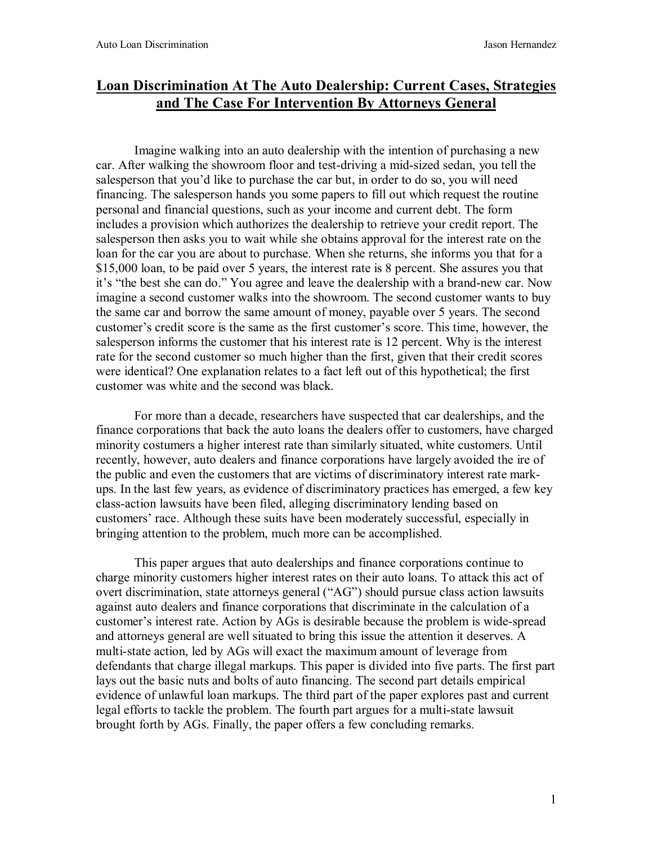# **Loan Discrimination At The Auto Dealership: Current Cases, Strategies and The Case For Intervention By Attorneys General**

Imagine walking into an auto dealership with the intention of purchasing a new car. After walking the showroom floor and test-driving a mid-sized sedan, you tell the salesperson that you'd like to purchase the car but, in order to do so, you will need financing. The salesperson hands you some papers to fill out which request the routine personal and financial questions, such as your income and current debt. The form includes a provision which authorizes the dealership to retrieve your credit report. The salesperson then asks you to wait while she obtains approval for the interest rate on the loan for the car you are about to purchase. When she returns, she informs you that for a \$15,000 loan, to be paid over 5 years, the interest rate is 8 percent. She assures you that it's "the best she can do." You agree and leave the dealership with a brand-new car. Now imagine a second customer walks into the showroom. The second customer wants to buy the same car and borrow the same amount of money, payable over 5 years. The second customer's credit score is the same as the first customer's score. This time, however, the salesperson informs the customer that his interest rate is 12 percent. Why is the interest rate for the second customer so much higher than the first, given that their credit scores were identical? One explanation relates to a fact left out of this hypothetical; the first customer was white and the second was black.

For more than a decade, researchers have suspected that car dealerships, and the finance corporations that back the auto loans the dealers offer to customers, have charged minority costumers a higher interest rate than similarly situated, white customers. Until recently, however, auto dealers and finance corporations have largely avoided the ire of the public and even the customers that are victims of discriminatory interest rate markups. In the last few years, as evidence of discriminatory practices has emerged, a few key class-action lawsuits have been filed, alleging discriminatory lending based on customers' race. Although these suits have been moderately successful, especially in bringing attention to the problem, much more can be accomplished.

This paper argues that auto dealerships and finance corporations continue to charge minority customers higher interest rates on their auto loans. To attack this act of overt discrimination, state attorneys general ("AG") should pursue class action lawsuits against auto dealers and finance corporations that discriminate in the calculation of a customer's interest rate. Action by AGs is desirable because the problem is wide-spread and attorneys general are well situated to bring this issue the attention it deserves. A multi-state action, led by AGs will exact the maximum amount of leverage from defendants that charge illegal markups. This paper is divided into five parts. The first part lays out the basic nuts and bolts of auto financing. The second part details empirical evidence of unlawful loan markups. The third part of the paper explores past and current legal efforts to tackle the problem. The fourth part argues for a multi-state lawsuit brought forth by AGs. Finally, the paper offers a few concluding remarks.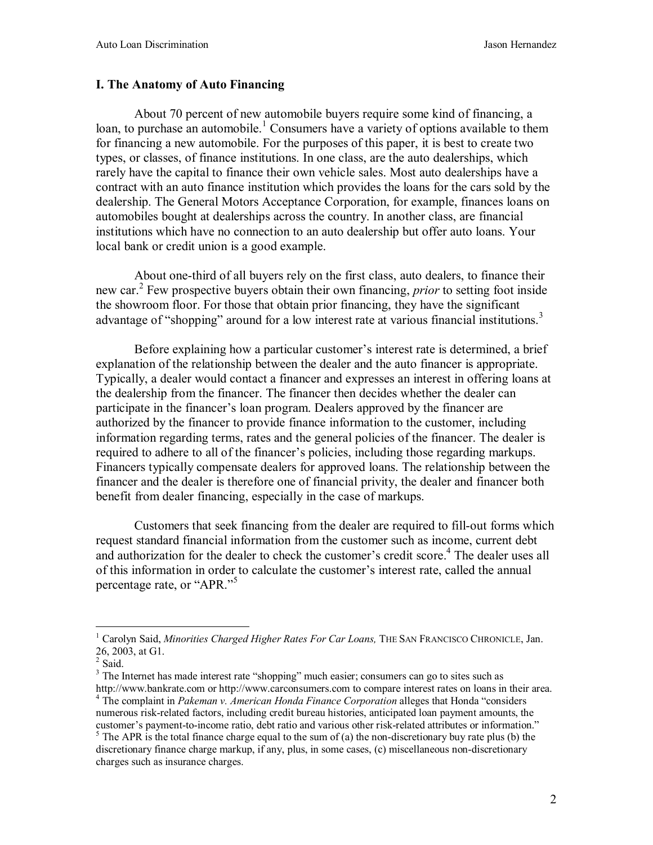#### **I. The Anatomy of Auto Financing**

About 70 percent of new automobile buyers require some kind of financing, a loan, to purchase an automobile.<sup>1</sup> Consumers have a variety of options available to them for financing a new automobile. For the purposes of this paper, it is best to create two types, or classes, of finance institutions. In one class, are the auto dealerships, which rarely have the capital to finance their own vehicle sales. Most auto dealerships have a contract with an auto finance institution which provides the loans for the cars sold by the dealership. The General Motors Acceptance Corporation, for example, finances loans on automobiles bought at dealerships across the country. In another class, are financial institutions which have no connection to an auto dealership but offer auto loans. Your local bank or credit union is a good example.

About one-third of all buyers rely on the first class, auto dealers, to finance their new car.<sup>2</sup> Few prospective buyers obtain their own financing, *prior* to setting foot inside the showroom floor. For those that obtain prior financing, they have the significant advantage of "shopping" around for a low interest rate at various financial institutions.<sup>3</sup>

 Before explaining how a particular customer's interest rate is determined, a brief explanation of the relationship between the dealer and the auto financer is appropriate. Typically, a dealer would contact a financer and expresses an interest in offering loans at the dealership from the financer. The financer then decides whether the dealer can participate in the financer's loan program. Dealers approved by the financer are authorized by the financer to provide finance information to the customer, including information regarding terms, rates and the general policies of the financer. The dealer is required to adhere to all of the financer's policies, including those regarding markups. Financers typically compensate dealers for approved loans. The relationship between the financer and the dealer is therefore one of financial privity, the dealer and financer both benefit from dealer financing, especially in the case of markups.

Customers that seek financing from the dealer are required to fill-out forms which request standard financial information from the customer such as income, current debt and authorization for the dealer to check the customer's credit score.<sup>4</sup> The dealer uses all of this information in order to calculate the customer's interest rate, called the annual percentage rate, or "APR."<sup>5</sup>

<sup>&</sup>lt;sup>1</sup> Carolyn Said, *Minorities Charged Higher Rates For Car Loans*, THE SAN FRANCISCO CHRONICLE, Jan. 26, 2003, at G1.<br><sup>2</sup> Said.

 $3$  The Internet has made interest rate "shopping" much easier; consumers can go to sites such as http://www.bankrate.com or http://www.carconsumers.com to compare interest rates on loans in their area. 4 The complaint in *Pakeman v. American Honda Finance Corporation* alleges that Honda "considers numerous risk-related factors, including credit bureau histories, anticipated loan payment amounts, the customer's payment-to-income ratio, debt ratio and various other risk-related attributes or information."

<sup>&</sup>lt;sup>5</sup> The APR is the total finance charge equal to the sum of (a) the non-discretionary buy rate plus (b) the discretionary finance charge markup, if any, plus, in some cases, (c) miscellaneous non-discretionary charges such as insurance charges.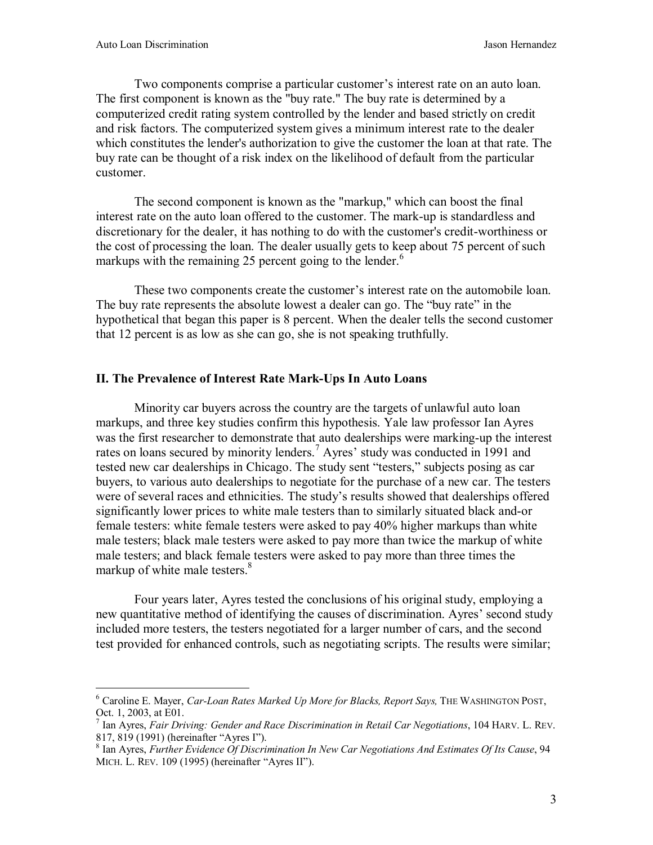$\overline{a}$ 

Two components comprise a particular customer's interest rate on an auto loan. The first component is known as the "buy rate." The buy rate is determined by a computerized credit rating system controlled by the lender and based strictly on credit and risk factors. The computerized system gives a minimum interest rate to the dealer which constitutes the lender's authorization to give the customer the loan at that rate. The buy rate can be thought of a risk index on the likelihood of default from the particular customer.

The second component is known as the "markup," which can boost the final interest rate on the auto loan offered to the customer. The mark-up is standardless and discretionary for the dealer, it has nothing to do with the customer's credit-worthiness or the cost of processing the loan. The dealer usually gets to keep about 75 percent of such markups with the remaining 25 percent going to the lender.<sup>6</sup>

These two components create the customer's interest rate on the automobile loan. The buy rate represents the absolute lowest a dealer can go. The "buy rate" in the hypothetical that began this paper is 8 percent. When the dealer tells the second customer that 12 percent is as low as she can go, she is not speaking truthfully.

#### **II. The Prevalence of Interest Rate Mark-Ups In Auto Loans**

Minority car buyers across the country are the targets of unlawful auto loan markups, and three key studies confirm this hypothesis. Yale law professor Ian Ayres was the first researcher to demonstrate that auto dealerships were marking-up the interest rates on loans secured by minority lenders.<sup>7</sup> Ayres' study was conducted in 1991 and tested new car dealerships in Chicago. The study sent "testers," subjects posing as car buyers, to various auto dealerships to negotiate for the purchase of a new car. The testers were of several races and ethnicities. The study's results showed that dealerships offered significantly lower prices to white male testers than to similarly situated black and-or female testers: white female testers were asked to pay 40% higher markups than white male testers; black male testers were asked to pay more than twice the markup of white male testers; and black female testers were asked to pay more than three times the markup of white male testers.<sup>8</sup>

Four years later, Ayres tested the conclusions of his original study, employing a new quantitative method of identifying the causes of discrimination. Ayres' second study included more testers, the testers negotiated for a larger number of cars, and the second test provided for enhanced controls, such as negotiating scripts. The results were similar;

<sup>6</sup> Caroline E. Mayer, *Car-Loan Rates Marked Up More for Blacks, Report Says,* THE WASHINGTON POST, Oct. 1, 2003, at E01.

<sup>7</sup> Ian Ayres, *Fair Driving: Gender and Race Discrimination in Retail Car Negotiations*, 104 HARV. L. REV. 817, 819 (1991) (hereinafter "Ayres I").

<sup>8</sup> Ian Ayres, *Further Evidence Of Discrimination In New Car Negotiations And Estimates Of Its Cause*, 94 MICH. L. REV. 109 (1995) (hereinafter "Ayres II").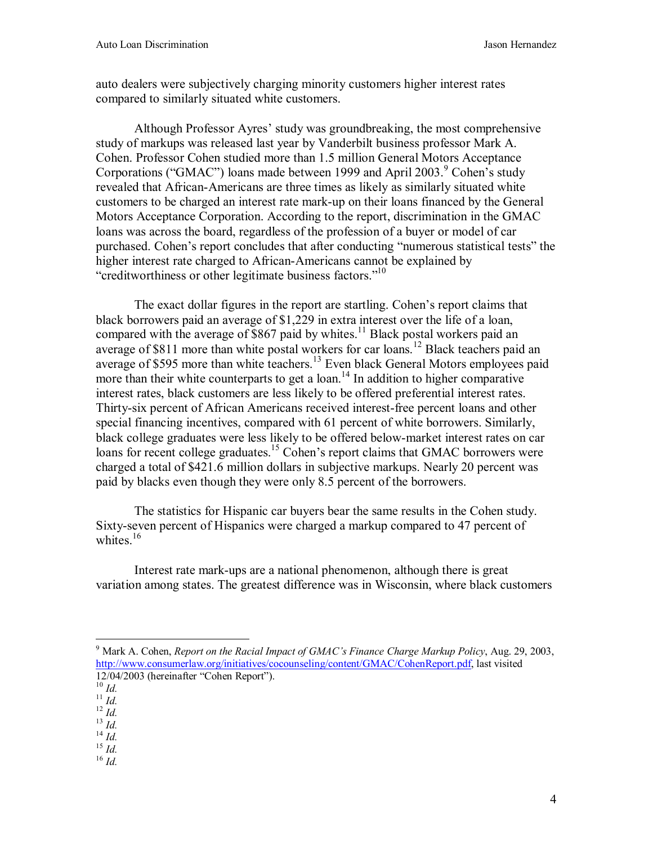auto dealers were subjectively charging minority customers higher interest rates compared to similarly situated white customers.

Although Professor Ayres' study was groundbreaking, the most comprehensive study of markups was released last year by Vanderbilt business professor Mark A. Cohen. Professor Cohen studied more than 1.5 million General Motors Acceptance Corporations ("GMAC") loans made between 1999 and April 2003.<sup>9</sup> Cohen's study revealed that African-Americans are three times as likely as similarly situated white customers to be charged an interest rate mark-up on their loans financed by the General Motors Acceptance Corporation. According to the report, discrimination in the GMAC loans was across the board, regardless of the profession of a buyer or model of car purchased. Cohen's report concludes that after conducting "numerous statistical tests" the higher interest rate charged to African-Americans cannot be explained by "creditworthiness or other legitimate business factors."<sup>10</sup>

The exact dollar figures in the report are startling. Cohen's report claims that black borrowers paid an average of \$1,229 in extra interest over the life of a loan, compared with the average of  $$867$  paid by whites.<sup>11</sup> Black postal workers paid an average of \$811 more than white postal workers for car loans.<sup>12</sup> Black teachers paid an average of \$595 more than white teachers.<sup>13</sup> Even black General Motors employees paid more than their white counterparts to get a loan.<sup>14</sup> In addition to higher comparative interest rates, black customers are less likely to be offered preferential interest rates. Thirty-six percent of African Americans received interest-free percent loans and other special financing incentives, compared with 61 percent of white borrowers. Similarly, black college graduates were less likely to be offered below-market interest rates on car loans for recent college graduates.<sup>15</sup> Cohen's report claims that GMAC borrowers were charged a total of \$421.6 million dollars in subjective markups. Nearly 20 percent was paid by blacks even though they were only 8.5 percent of the borrowers.

The statistics for Hispanic car buyers bear the same results in the Cohen study. Sixty-seven percent of Hispanics were charged a markup compared to 47 percent of whites. $16$ 

Interest rate mark-ups are a national phenomenon, although there is great variation among states. The greatest difference was in Wisconsin, where black customers

- 
- 10 *Id.* 11 *Id.* 12 *Id.* 13 *Id.* 14 *Id.* 15 *Id.* 16 *Id.*
- 
- 

<sup>9</sup> Mark A. Cohen, *Report on the Racial Impact of GMAC's Finance Charge Markup Policy*, Aug. 29, 2003, http://www.consumerlaw.org/initiatives/cocounseling/content/GMAC/CohenReport.pdf, last visited 12/04/2003 (hereinafter "Cohen Report").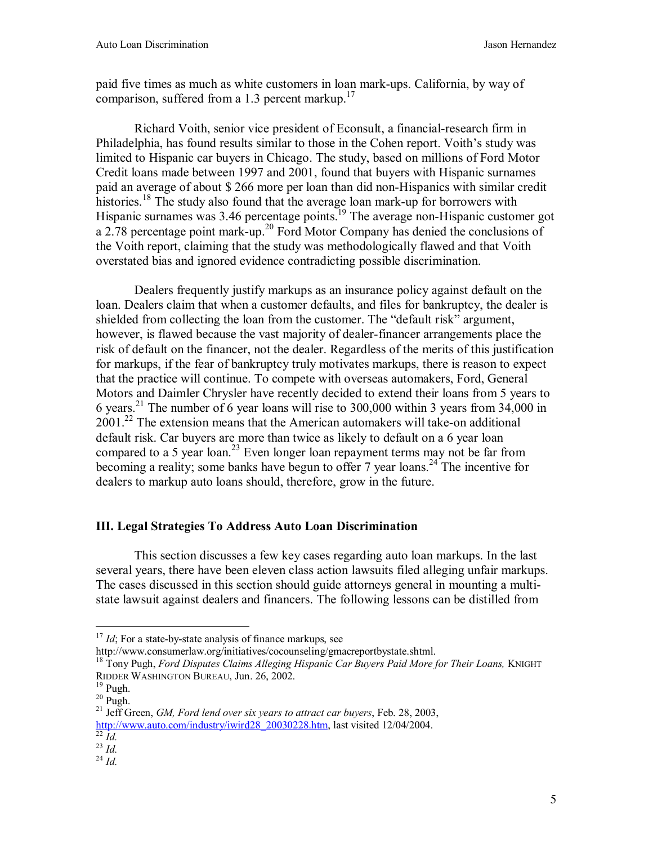paid five times as much as white customers in loan mark-ups. California, by way of comparison, suffered from a 1.3 percent markup.<sup>17</sup>

Richard Voith, senior vice president of Econsult, a financial-research firm in Philadelphia, has found results similar to those in the Cohen report. Voith's study was limited to Hispanic car buyers in Chicago. The study, based on millions of Ford Motor Credit loans made between 1997 and 2001, found that buyers with Hispanic surnames paid an average of about \$ 266 more per loan than did non-Hispanics with similar credit histories.<sup>18</sup> The study also found that the average loan mark-up for borrowers with Hispanic surnames was 3.46 percentage points.<sup>19</sup> The average non-Hispanic customer got a 2.78 percentage point mark-up.<sup>20</sup> Ford Motor Company has denied the conclusions of the Voith report, claiming that the study was methodologically flawed and that Voith overstated bias and ignored evidence contradicting possible discrimination.

 Dealers frequently justify markups as an insurance policy against default on the loan. Dealers claim that when a customer defaults, and files for bankruptcy, the dealer is shielded from collecting the loan from the customer. The "default risk" argument, however, is flawed because the vast majority of dealer-financer arrangements place the risk of default on the financer, not the dealer. Regardless of the merits of this justification for markups, if the fear of bankruptcy truly motivates markups, there is reason to expect that the practice will continue. To compete with overseas automakers, Ford, General Motors and Daimler Chrysler have recently decided to extend their loans from 5 years to 6 years.<sup>21</sup> The number of 6 year loans will rise to 300,000 within 3 years from 34,000 in  $2001<sup>22</sup>$  The extension means that the American automakers will take-on additional default risk. Car buyers are more than twice as likely to default on a 6 year loan compared to a 5 year loan.<sup>23</sup> Even longer loan repayment terms may not be far from becoming a reality; some banks have begun to offer 7 year loans.<sup>24</sup> The incentive for dealers to markup auto loans should, therefore, grow in the future.

### **III. Legal Strategies To Address Auto Loan Discrimination**

 This section discusses a few key cases regarding auto loan markups. In the last several years, there have been eleven class action lawsuits filed alleging unfair markups. The cases discussed in this section should guide attorneys general in mounting a multistate lawsuit against dealers and financers. The following lessons can be distilled from

http://www.consumerlaw.org/initiatives/cocounseling/gmacreportbystate.shtml.

<sup>&</sup>lt;sup>17</sup> *Id*; For a state-by-state analysis of finance markups, see

<sup>18</sup> Tony Pugh, *Ford Disputes Claims Alleging Hispanic Car Buyers Paid More for Their Loans,* KNIGHT RIDDER WASHINGTON BUREAU, Jun. 26, 2002.<br><sup>19</sup> Pugh.

 $20$  Pugh.

<sup>21</sup> Jeff Green, *GM, Ford lend over six years to attract car buyers*, Feb. 28, 2003, http://www.auto.com/industry/iwird28\_20030228.htm, last visited 12/04/2004.<br><sup>22</sup> *Id.* <sup>23</sup> *Id.* <sup>24</sup> *Id.*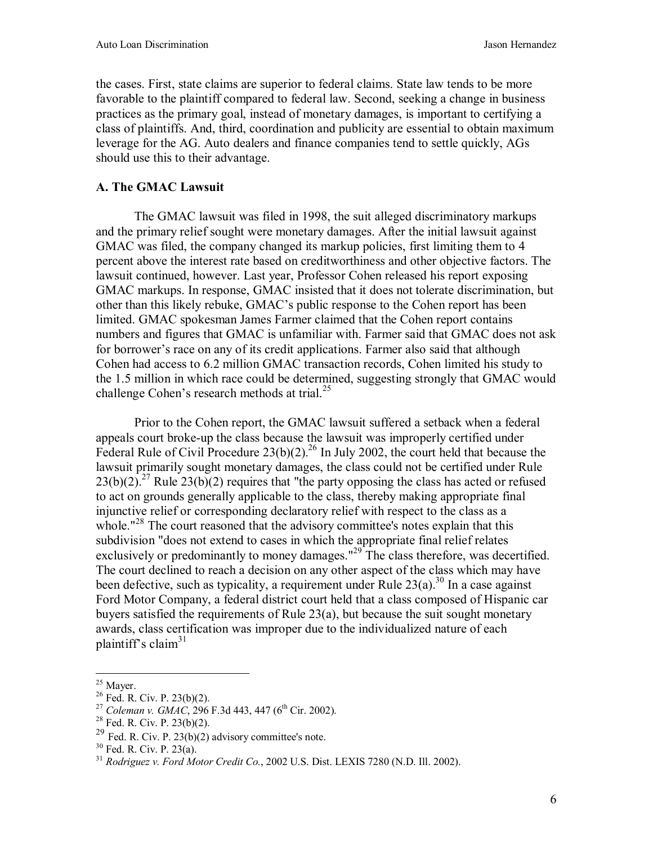the cases. First, state claims are superior to federal claims. State law tends to be more favorable to the plaintiff compared to federal law. Second, seeking a change in business practices as the primary goal, instead of monetary damages, is important to certifying a class of plaintiffs. And, third, coordination and publicity are essential to obtain maximum leverage for the AG. Auto dealers and finance companies tend to settle quickly, AGs should use this to their advantage.

### **A. The GMAC Lawsuit**

The GMAC lawsuit was filed in 1998, the suit alleged discriminatory markups and the primary relief sought were monetary damages. After the initial lawsuit against GMAC was filed, the company changed its markup policies, first limiting them to 4 percent above the interest rate based on creditworthiness and other objective factors. The lawsuit continued, however. Last year, Professor Cohen released his report exposing GMAC markups. In response, GMAC insisted that it does not tolerate discrimination, but other than this likely rebuke, GMAC's public response to the Cohen report has been limited. GMAC spokesman James Farmer claimed that the Cohen report contains numbers and figures that GMAC is unfamiliar with. Farmer said that GMAC does not ask for borrower's race on any of its credit applications. Farmer also said that although Cohen had access to 6.2 million GMAC transaction records, Cohen limited his study to the 1.5 million in which race could be determined, suggesting strongly that GMAC would challenge Cohen's research methods at trial. $^{25}$ 

Prior to the Cohen report, the GMAC lawsuit suffered a setback when a federal appeals court broke-up the class because the lawsuit was improperly certified under Federal Rule of Civil Procedure  $23(b)(2)$ .<sup>26</sup> In July 2002, the court held that because the lawsuit primarily sought monetary damages, the class could not be certified under Rule  $23(b)(2)$ <sup>27</sup> Rule  $23(b)(2)$  requires that "the party opposing the class has acted or refused to act on grounds generally applicable to the class, thereby making appropriate final injunctive relief or corresponding declaratory relief with respect to the class as a whole."<sup>28</sup> The court reasoned that the advisory committee's notes explain that this subdivision "does not extend to cases in which the appropriate final relief relates exclusively or predominantly to money damages."<sup>29</sup> The class therefore, was decertified. The court declined to reach a decision on any other aspect of the class which may have been defective, such as typicality, a requirement under Rule  $23(a)$ .<sup>30</sup> In a case against Ford Motor Company, a federal district court held that a class composed of Hispanic car buyers satisfied the requirements of Rule 23(a), but because the suit sought monetary awards, class certification was improper due to the individualized nature of each plaintiff's claim<sup>31</sup>

 $\overline{a}$  $25$  Mayer.

 $26$  Fed. R. Civ. P. 23(b)(2).

<sup>&</sup>lt;sup>27</sup> *Coleman v. GMAC*, 296 F.3d 443, 447 (6<sup>th</sup> Cir. 2002).<br><sup>28</sup> Fed. R. Civ. P. 23(b)(2).

<sup>&</sup>lt;sup>29</sup> Fed. R. Civ. P. 23(b)(2) advisory committee's note.

<sup>30</sup> Fed. R. Civ. P. 23(a).

<sup>31</sup> *Rodriguez v. Ford Motor Credit Co.*, 2002 U.S. Dist. LEXIS 7280 (N.D. Ill. 2002).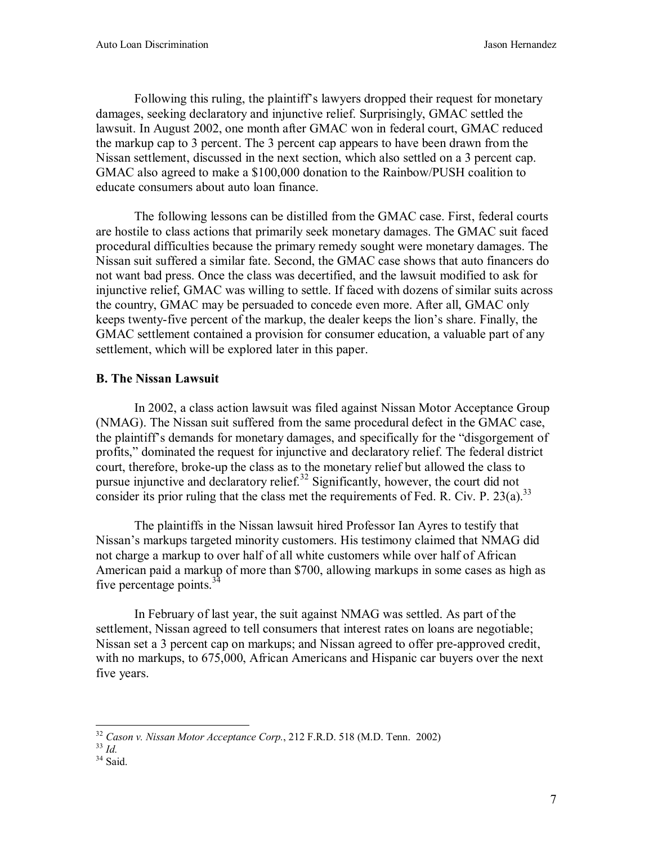Following this ruling, the plaintiff's lawyers dropped their request for monetary damages, seeking declaratory and injunctive relief. Surprisingly, GMAC settled the lawsuit. In August 2002, one month after GMAC won in federal court, GMAC reduced the markup cap to 3 percent. The 3 percent cap appears to have been drawn from the Nissan settlement, discussed in the next section, which also settled on a 3 percent cap. GMAC also agreed to make a \$100,000 donation to the Rainbow/PUSH coalition to educate consumers about auto loan finance.

 The following lessons can be distilled from the GMAC case. First, federal courts are hostile to class actions that primarily seek monetary damages. The GMAC suit faced procedural difficulties because the primary remedy sought were monetary damages. The Nissan suit suffered a similar fate. Second, the GMAC case shows that auto financers do not want bad press. Once the class was decertified, and the lawsuit modified to ask for injunctive relief, GMAC was willing to settle. If faced with dozens of similar suits across the country, GMAC may be persuaded to concede even more. After all, GMAC only keeps twenty-five percent of the markup, the dealer keeps the lion's share. Finally, the GMAC settlement contained a provision for consumer education, a valuable part of any settlement, which will be explored later in this paper.

# **B. The Nissan Lawsuit**

In 2002, a class action lawsuit was filed against Nissan Motor Acceptance Group (NMAG). The Nissan suit suffered from the same procedural defect in the GMAC case, the plaintiff's demands for monetary damages, and specifically for the "disgorgement of profits," dominated the request for injunctive and declaratory relief. The federal district court, therefore, broke-up the class as to the monetary relief but allowed the class to pursue injunctive and declaratory relief.<sup>32</sup> Significantly, however, the court did not consider its prior ruling that the class met the requirements of Fed. R. Civ. P.  $23(a)$ .<sup>33</sup>

The plaintiffs in the Nissan lawsuit hired Professor Ian Ayres to testify that Nissan's markups targeted minority customers. His testimony claimed that NMAG did not charge a markup to over half of all white customers while over half of African American paid a markup of more than \$700, allowing markups in some cases as high as five percentage points. $34$ 

In February of last year, the suit against NMAG was settled. As part of the settlement, Nissan agreed to tell consumers that interest rates on loans are negotiable; Nissan set a 3 percent cap on markups; and Nissan agreed to offer pre-approved credit, with no markups, to 675,000, African Americans and Hispanic car buyers over the next five years.

 $\overline{a}$ <sup>32</sup> *Cason v. Nissan Motor Acceptance Corp.*, 212 F.R.D. 518 (M.D. Tenn. 2002)<br><sup>33</sup> *Id.* Said.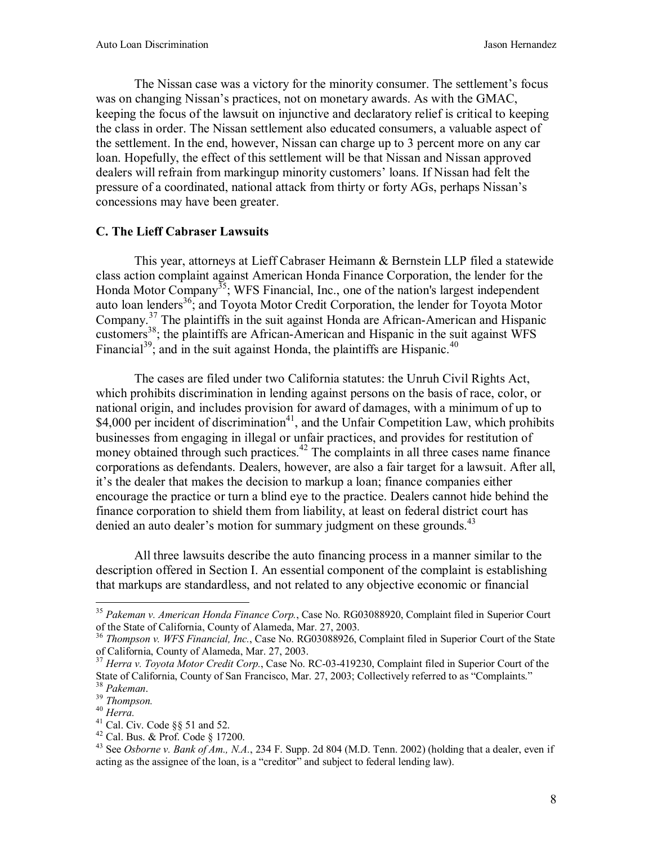The Nissan case was a victory for the minority consumer. The settlement's focus was on changing Nissan's practices, not on monetary awards. As with the GMAC, keeping the focus of the lawsuit on injunctive and declaratory relief is critical to keeping the class in order. The Nissan settlement also educated consumers, a valuable aspect of the settlement. In the end, however, Nissan can charge up to 3 percent more on any car loan. Hopefully, the effect of this settlement will be that Nissan and Nissan approved dealers will refrain from markingup minority customers' loans. If Nissan had felt the pressure of a coordinated, national attack from thirty or forty AGs, perhaps Nissan's concessions may have been greater.

#### **C. The Lieff Cabraser Lawsuits**

This year, attorneys at Lieff Cabraser Heimann & Bernstein LLP filed a statewide class action complaint against American Honda Finance Corporation, the lender for the Honda Motor Company<sup>35</sup>; WFS Financial, Inc., one of the nation's largest independent auto loan lenders<sup>36</sup>; and Toyota Motor Credit Corporation, the lender for Toyota Motor Company.37 The plaintiffs in the suit against Honda are African-American and Hispanic customers<sup>38</sup>; the plaintiffs are African-American and Hispanic in the suit against WFS Financial<sup>39</sup>; and in the suit against Honda, the plaintiffs are Hispanic.<sup>40</sup>

The cases are filed under two California statutes: the Unruh Civil Rights Act, which prohibits discrimination in lending against persons on the basis of race, color, or national origin, and includes provision for award of damages, with a minimum of up to \$4,000 per incident of discrimination<sup>41</sup>, and the Unfair Competition Law, which prohibits businesses from engaging in illegal or unfair practices, and provides for restitution of money obtained through such practices.<sup>42</sup> The complaints in all three cases name finance corporations as defendants. Dealers, however, are also a fair target for a lawsuit. After all, it's the dealer that makes the decision to markup a loan; finance companies either encourage the practice or turn a blind eye to the practice. Dealers cannot hide behind the finance corporation to shield them from liability, at least on federal district court has denied an auto dealer's motion for summary judgment on these grounds.<sup>43</sup>

All three lawsuits describe the auto financing process in a manner similar to the description offered in Section I. An essential component of the complaint is establishing that markups are standardless, and not related to any objective economic or financial

1

<sup>35</sup> *Pakeman v. American Honda Finance Corp.*, Case No. RG03088920, Complaint filed in Superior Court of the State of California, County of Alameda, Mar. 27, 2003.

<sup>36</sup> *Thompson v. WFS Financial, Inc.*, Case No. RG03088926, Complaint filed in Superior Court of the State of California, County of Alameda, Mar. 27, 2003.

<sup>37</sup> *Herra v. Toyota Motor Credit Corp.*, Case No. RC-03-419230, Complaint filed in Superior Court of the State of California, County of San Francisco, Mar. 27, 2003; Collectively referred to as "Complaints."<br><sup>38</sup> Pakeman.

<sup>&</sup>lt;sup>39</sup> *Thompson.*<br><sup>40</sup> *Herra.*<br><sup>41</sup> Cal. Civ. Code §§ 51 and 52.

<sup>42</sup> Cal. Bus. & Prof. Code § 17200.

<sup>&</sup>lt;sup>43</sup> See *Osborne v. Bank of Am., N.A.*, 234 F. Supp. 2d 804 (M.D. Tenn. 2002) (holding that a dealer, even if acting as the assignee of the loan, is a "creditor" and subject to federal lending law).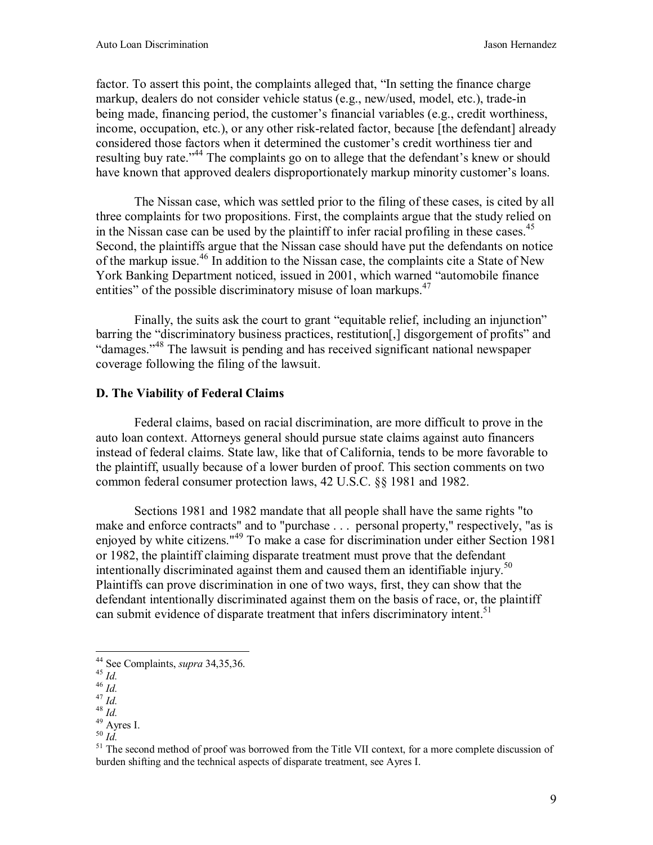factor. To assert this point, the complaints alleged that, "In setting the finance charge markup, dealers do not consider vehicle status (e.g., new/used, model, etc.), trade-in being made, financing period, the customer's financial variables (e.g., credit worthiness, income, occupation, etc.), or any other risk-related factor, because [the defendant] already considered those factors when it determined the customer's credit worthiness tier and resulting buy rate."<sup>44</sup> The complaints go on to allege that the defendant's knew or should have known that approved dealers disproportionately markup minority customer's loans.

The Nissan case, which was settled prior to the filing of these cases, is cited by all three complaints for two propositions. First, the complaints argue that the study relied on in the Nissan case can be used by the plaintiff to infer racial profiling in these cases.<sup>45</sup> Second, the plaintiffs argue that the Nissan case should have put the defendants on notice of the markup issue.46 In addition to the Nissan case, the complaints cite a State of New York Banking Department noticed, issued in 2001, which warned "automobile finance entities" of the possible discriminatory misuse of loan markups.  $47$ 

Finally, the suits ask the court to grant "equitable relief, including an injunction" barring the "discriminatory business practices, restitution[,] disgorgement of profits" and "damages."48 The lawsuit is pending and has received significant national newspaper coverage following the filing of the lawsuit.

### **D. The Viability of Federal Claims**

 Federal claims, based on racial discrimination, are more difficult to prove in the auto loan context. Attorneys general should pursue state claims against auto financers instead of federal claims. State law, like that of California, tends to be more favorable to the plaintiff, usually because of a lower burden of proof. This section comments on two common federal consumer protection laws, 42 U.S.C. §§ 1981 and 1982.

Sections 1981 and 1982 mandate that all people shall have the same rights "to make and enforce contracts" and to "purchase . . . personal property," respectively, "as is enjoyed by white citizens."<sup>49</sup> To make a case for discrimination under either Section 1981 or 1982, the plaintiff claiming disparate treatment must prove that the defendant intentionally discriminated against them and caused them an identifiable injury.<sup>50</sup> Plaintiffs can prove discrimination in one of two ways, first, they can show that the defendant intentionally discriminated against them on the basis of race, or, the plaintiff can submit evidence of disparate treatment that infers discriminatory intent.<sup>51</sup>

<sup>44</sup> See Complaints, *supra* 34,35,36.<br>
45 *Id.*<br>
46 *Id.*<br>
47 *Id.*<br>
48 *Id.*<br>
49 Ayres I.<br>
50 *Id* 

<sup>&</sup>lt;sup>51</sup> The second method of proof was borrowed from the Title VII context, for a more complete discussion of burden shifting and the technical aspects of disparate treatment, see Ayres I.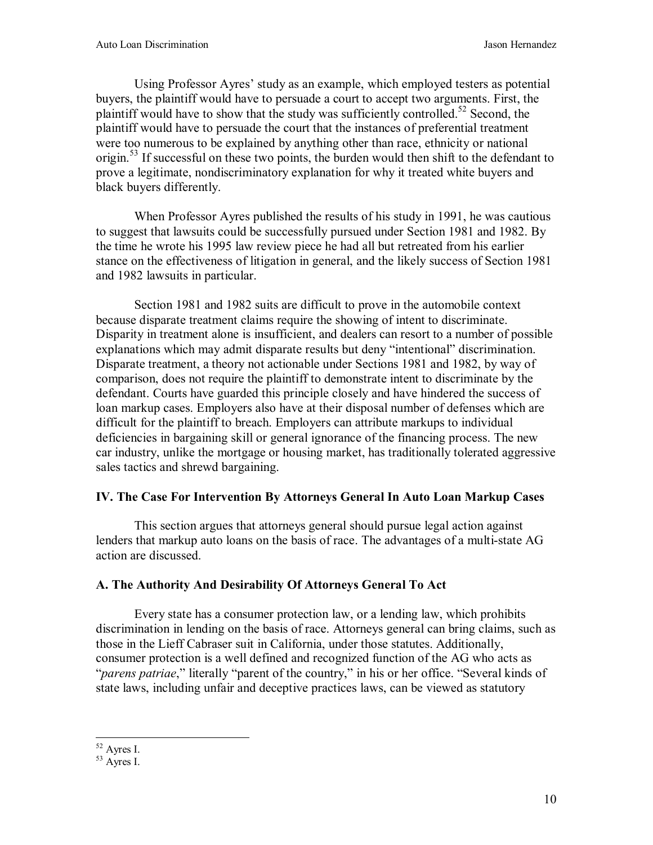Using Professor Ayres' study as an example, which employed testers as potential buyers, the plaintiff would have to persuade a court to accept two arguments. First, the plaintiff would have to show that the study was sufficiently controlled.<sup>52</sup> Second, the plaintiff would have to persuade the court that the instances of preferential treatment were too numerous to be explained by anything other than race, ethnicity or national origin.<sup>53</sup> If successful on these two points, the burden would then shift to the defendant to prove a legitimate, nondiscriminatory explanation for why it treated white buyers and black buyers differently.

When Professor Ayres published the results of his study in 1991, he was cautious to suggest that lawsuits could be successfully pursued under Section 1981 and 1982. By the time he wrote his 1995 law review piece he had all but retreated from his earlier stance on the effectiveness of litigation in general, and the likely success of Section 1981 and 1982 lawsuits in particular.

Section 1981 and 1982 suits are difficult to prove in the automobile context because disparate treatment claims require the showing of intent to discriminate. Disparity in treatment alone is insufficient, and dealers can resort to a number of possible explanations which may admit disparate results but deny "intentional" discrimination. Disparate treatment, a theory not actionable under Sections 1981 and 1982, by way of comparison, does not require the plaintiff to demonstrate intent to discriminate by the defendant. Courts have guarded this principle closely and have hindered the success of loan markup cases. Employers also have at their disposal number of defenses which are difficult for the plaintiff to breach. Employers can attribute markups to individual deficiencies in bargaining skill or general ignorance of the financing process. The new car industry, unlike the mortgage or housing market, has traditionally tolerated aggressive sales tactics and shrewd bargaining.

### **IV. The Case For Intervention By Attorneys General In Auto Loan Markup Cases**

 This section argues that attorneys general should pursue legal action against lenders that markup auto loans on the basis of race. The advantages of a multi-state AG action are discussed.

### **A. The Authority And Desirability Of Attorneys General To Act**

 Every state has a consumer protection law, or a lending law, which prohibits discrimination in lending on the basis of race. Attorneys general can bring claims, such as those in the Lieff Cabraser suit in California, under those statutes. Additionally, consumer protection is a well defined and recognized function of the AG who acts as "*parens patriae*," literally "parent of the country," in his or her office. "Several kinds of state laws, including unfair and deceptive practices laws, can be viewed as statutory

 $\overline{a}$  $52$  Ayres I.

 $53$  Ayres I.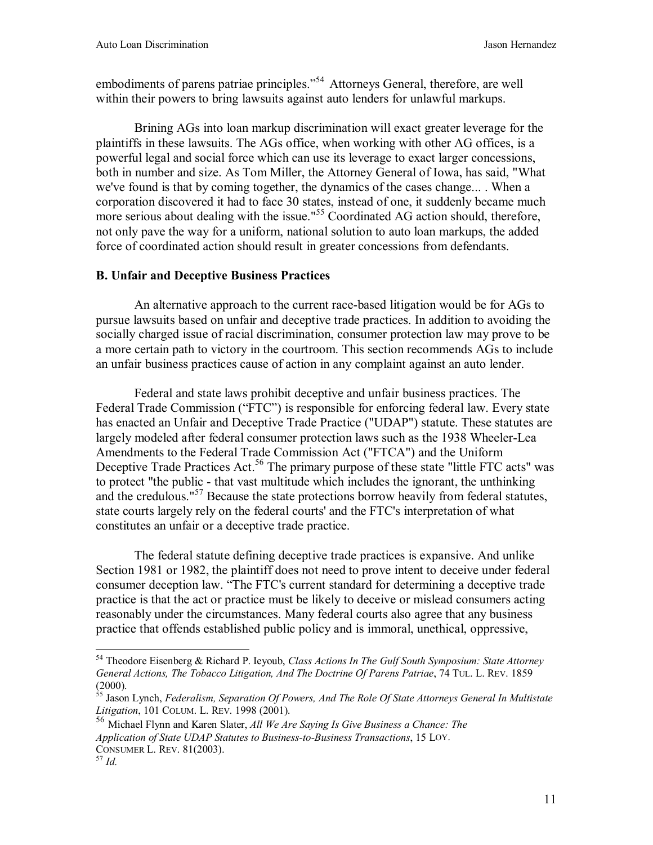embodiments of parens patriae principles."<sup>54</sup> Attorneys General, therefore, are well within their powers to bring lawsuits against auto lenders for unlawful markups.

 Brining AGs into loan markup discrimination will exact greater leverage for the plaintiffs in these lawsuits. The AGs office, when working with other AG offices, is a powerful legal and social force which can use its leverage to exact larger concessions, both in number and size. As Tom Miller, the Attorney General of Iowa, has said, "What we've found is that by coming together, the dynamics of the cases change... . When a corporation discovered it had to face 30 states, instead of one, it suddenly became much more serious about dealing with the issue."<sup>55</sup> Coordinated AG action should, therefore, not only pave the way for a uniform, national solution to auto loan markups, the added force of coordinated action should result in greater concessions from defendants.

# **B. Unfair and Deceptive Business Practices**

An alternative approach to the current race-based litigation would be for AGs to pursue lawsuits based on unfair and deceptive trade practices. In addition to avoiding the socially charged issue of racial discrimination, consumer protection law may prove to be a more certain path to victory in the courtroom. This section recommends AGs to include an unfair business practices cause of action in any complaint against an auto lender.

Federal and state laws prohibit deceptive and unfair business practices. The Federal Trade Commission ("FTC") is responsible for enforcing federal law. Every state has enacted an Unfair and Deceptive Trade Practice ("UDAP") statute. These statutes are largely modeled after federal consumer protection laws such as the 1938 Wheeler-Lea Amendments to the Federal Trade Commission Act ("FTCA") and the Uniform Deceptive Trade Practices Act.<sup>56</sup> The primary purpose of these state "little FTC acts" was to protect "the public - that vast multitude which includes the ignorant, the unthinking and the credulous."<sup>57</sup> Because the state protections borrow heavily from federal statutes, state courts largely rely on the federal courts' and the FTC's interpretation of what constitutes an unfair or a deceptive trade practice.

The federal statute defining deceptive trade practices is expansive. And unlike Section 1981 or 1982, the plaintiff does not need to prove intent to deceive under federal consumer deception law. "The FTC's current standard for determining a deceptive trade practice is that the act or practice must be likely to deceive or mislead consumers acting reasonably under the circumstances. Many federal courts also agree that any business practice that offends established public policy and is immoral, unethical, oppressive,

<sup>54</sup> Theodore Eisenberg & Richard P. Ieyoub, *Class Actions In The Gulf South Symposium: State Attorney General Actions, The Tobacco Litigation, And The Doctrine Of Parens Patriae*, 74 TUL. L. REV. 1859 (2000).

<sup>55</sup> Jason Lynch, *Federalism, Separation Of Powers, And The Role Of State Attorneys General In Multistate Litigation*, 101 COLUM. L. REV. 1998 (2001).

<sup>56</sup> Michael Flynn and Karen Slater, *All We Are Saying Is Give Business a Chance: The Application of State UDAP Statutes to Business-to-Business Transactions*, 15 LOY.

CONSUMER L. REV. 81(2003). <sup>57</sup> *Id.*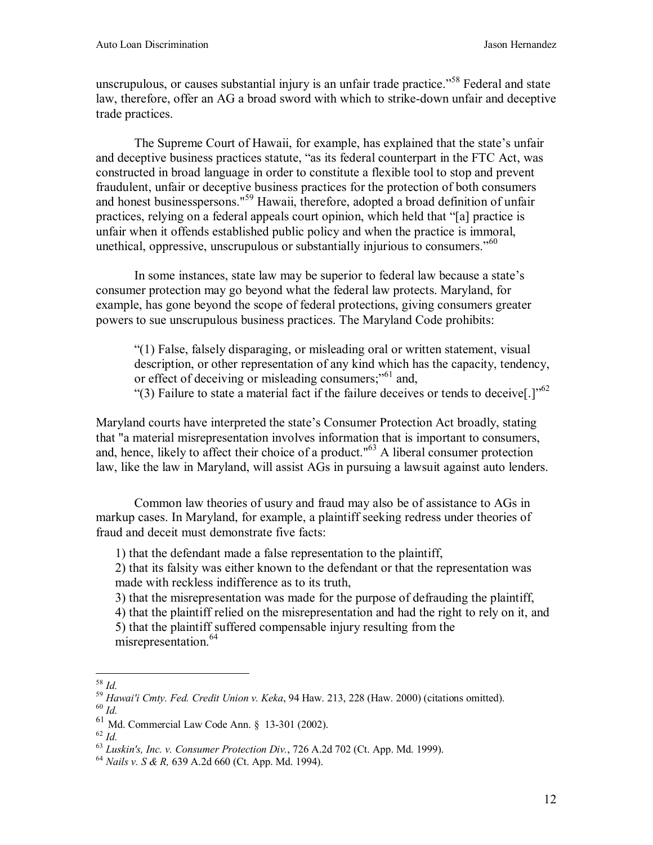unscrupulous, or causes substantial injury is an unfair trade practice."<sup>58</sup> Federal and state law, therefore, offer an AG a broad sword with which to strike-down unfair and deceptive trade practices.

The Supreme Court of Hawaii, for example, has explained that the state's unfair and deceptive business practices statute, "as its federal counterpart in the FTC Act, was constructed in broad language in order to constitute a flexible tool to stop and prevent fraudulent, unfair or deceptive business practices for the protection of both consumers and honest businesspersons."59 Hawaii, therefore, adopted a broad definition of unfair practices, relying on a federal appeals court opinion, which held that "[a] practice is unfair when it offends established public policy and when the practice is immoral, unethical, oppressive, unscrupulous or substantially injurious to consumers.<sup>"60</sup>

In some instances, state law may be superior to federal law because a state's consumer protection may go beyond what the federal law protects. Maryland, for example, has gone beyond the scope of federal protections, giving consumers greater powers to sue unscrupulous business practices. The Maryland Code prohibits:

"(1) False, falsely disparaging, or misleading oral or written statement, visual description, or other representation of any kind which has the capacity, tendency, or effect of deceiving or misleading consumers;"<sup>61</sup> and, "(3) Failure to state a material fact if the failure deceives or tends to deceive[.]"62

Maryland courts have interpreted the state's Consumer Protection Act broadly, stating that "a material misrepresentation involves information that is important to consumers, and, hence, likely to affect their choice of a product."63 A liberal consumer protection law, like the law in Maryland, will assist AGs in pursuing a lawsuit against auto lenders.

 Common law theories of usury and fraud may also be of assistance to AGs in markup cases. In Maryland, for example, a plaintiff seeking redress under theories of fraud and deceit must demonstrate five facts:

1) that the defendant made a false representation to the plaintiff,

2) that its falsity was either known to the defendant or that the representation was made with reckless indifference as to its truth,

3) that the misrepresentation was made for the purpose of defrauding the plaintiff,

4) that the plaintiff relied on the misrepresentation and had the right to rely on it, and

5) that the plaintiff suffered compensable injury resulting from the misrepresentation.<sup>64</sup>

 $^{58}$   $Id.$ 

<sup>58</sup> *Id.* <sup>59</sup> *Hawai'i Cmty. Fed. Credit Union v. Keka*, 94 Haw. 213, 228 (Haw. 2000) (citations omitted). 60 *Id.* 

<sup>&</sup>lt;sup>61</sup> Md. Commercial Law Code Ann. § 13-301 (2002).<br><sup>62</sup> Id

<sup>62</sup> *Id.* <sup>63</sup> *Luskin's, Inc. v. Consumer Protection Div.*, 726 A.2d 702 (Ct. App. Md. 1999). 64 *Nails v. S & R,* 639 A.2d 660 (Ct. App. Md. 1994).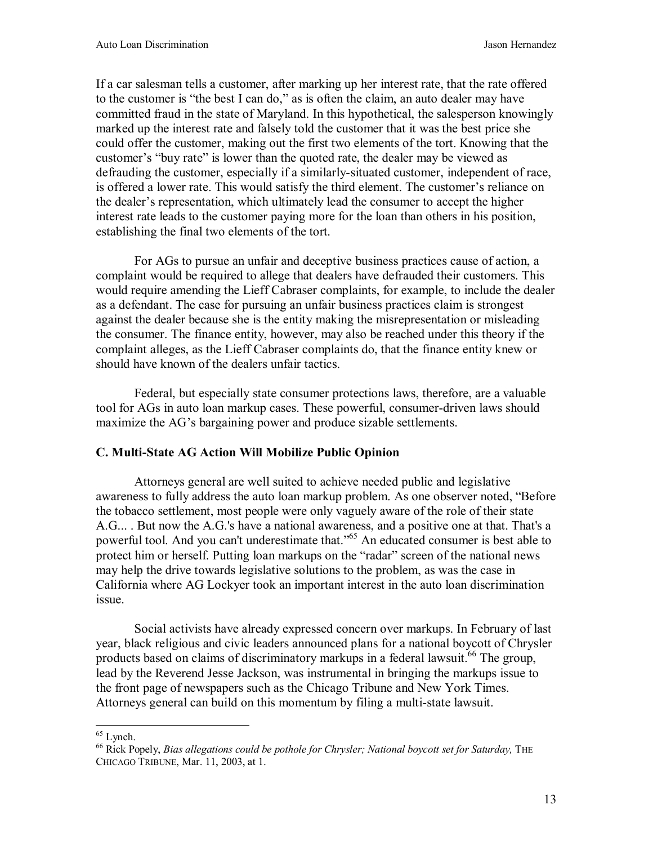If a car salesman tells a customer, after marking up her interest rate, that the rate offered to the customer is "the best I can do," as is often the claim, an auto dealer may have committed fraud in the state of Maryland. In this hypothetical, the salesperson knowingly marked up the interest rate and falsely told the customer that it was the best price she could offer the customer, making out the first two elements of the tort. Knowing that the customer's "buy rate" is lower than the quoted rate, the dealer may be viewed as defrauding the customer, especially if a similarly-situated customer, independent of race, is offered a lower rate. This would satisfy the third element. The customer's reliance on the dealer's representation, which ultimately lead the consumer to accept the higher interest rate leads to the customer paying more for the loan than others in his position, establishing the final two elements of the tort.

 For AGs to pursue an unfair and deceptive business practices cause of action, a complaint would be required to allege that dealers have defrauded their customers. This would require amending the Lieff Cabraser complaints, for example, to include the dealer as a defendant. The case for pursuing an unfair business practices claim is strongest against the dealer because she is the entity making the misrepresentation or misleading the consumer. The finance entity, however, may also be reached under this theory if the complaint alleges, as the Lieff Cabraser complaints do, that the finance entity knew or should have known of the dealers unfair tactics.

 Federal, but especially state consumer protections laws, therefore, are a valuable tool for AGs in auto loan markup cases. These powerful, consumer-driven laws should maximize the AG's bargaining power and produce sizable settlements.

### **C. Multi-State AG Action Will Mobilize Public Opinion**

Attorneys general are well suited to achieve needed public and legislative awareness to fully address the auto loan markup problem. As one observer noted, "Before the tobacco settlement, most people were only vaguely aware of the role of their state A.G... . But now the A.G.'s have a national awareness, and a positive one at that. That's a powerful tool. And you can't underestimate that."65 An educated consumer is best able to protect him or herself. Putting loan markups on the "radar" screen of the national news may help the drive towards legislative solutions to the problem, as was the case in California where AG Lockyer took an important interest in the auto loan discrimination issue.

Social activists have already expressed concern over markups. In February of last year, black religious and civic leaders announced plans for a national boycott of Chrysler products based on claims of discriminatory markups in a federal lawsuit.<sup>66</sup> The group, lead by the Reverend Jesse Jackson, was instrumental in bringing the markups issue to the front page of newspapers such as the Chicago Tribune and New York Times. Attorneys general can build on this momentum by filing a multi-state lawsuit.

<sup>&</sup>lt;u>.</u>  $65$  Lynch.

<sup>&</sup>lt;sup>66</sup> Rick Popely, *Bias allegations could be pothole for Chrysler; National boycott set for Saturday*, THE CHICAGO TRIBUNE, Mar. 11, 2003, at 1.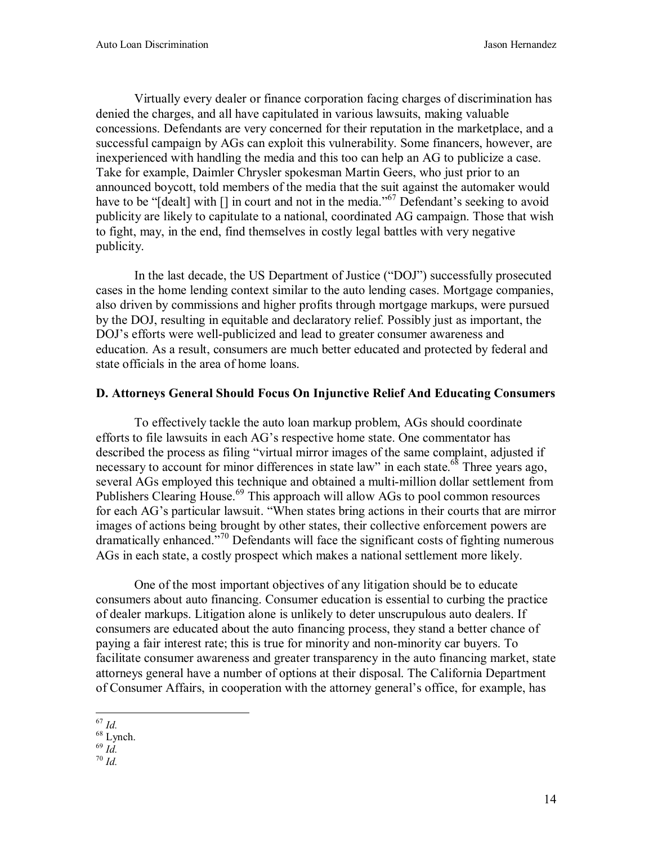Virtually every dealer or finance corporation facing charges of discrimination has denied the charges, and all have capitulated in various lawsuits, making valuable concessions. Defendants are very concerned for their reputation in the marketplace, and a successful campaign by AGs can exploit this vulnerability. Some financers, however, are inexperienced with handling the media and this too can help an AG to publicize a case. Take for example, Daimler Chrysler spokesman Martin Geers, who just prior to an announced boycott, told members of the media that the suit against the automaker would have to be "[dealt] with [] in court and not in the media."<sup>67</sup> Defendant's seeking to avoid publicity are likely to capitulate to a national, coordinated AG campaign. Those that wish to fight, may, in the end, find themselves in costly legal battles with very negative publicity.

In the last decade, the US Department of Justice ("DOJ") successfully prosecuted cases in the home lending context similar to the auto lending cases. Mortgage companies, also driven by commissions and higher profits through mortgage markups, were pursued by the DOJ, resulting in equitable and declaratory relief. Possibly just as important, the DOJ's efforts were well-publicized and lead to greater consumer awareness and education. As a result, consumers are much better educated and protected by federal and state officials in the area of home loans.

### **D. Attorneys General Should Focus On Injunctive Relief And Educating Consumers**

To effectively tackle the auto loan markup problem, AGs should coordinate efforts to file lawsuits in each AG's respective home state. One commentator has described the process as filing "virtual mirror images of the same complaint, adjusted if necessary to account for minor differences in state law" in each state.<sup>68</sup> Three years ago, several AGs employed this technique and obtained a multi-million dollar settlement from Publishers Clearing House.<sup>69</sup> This approach will allow AGs to pool common resources for each AG's particular lawsuit. "When states bring actions in their courts that are mirror images of actions being brought by other states, their collective enforcement powers are dramatically enhanced."70 Defendants will face the significant costs of fighting numerous AGs in each state, a costly prospect which makes a national settlement more likely.

One of the most important objectives of any litigation should be to educate consumers about auto financing. Consumer education is essential to curbing the practice of dealer markups. Litigation alone is unlikely to deter unscrupulous auto dealers. If consumers are educated about the auto financing process, they stand a better chance of paying a fair interest rate; this is true for minority and non-minority car buyers. To facilitate consumer awareness and greater transparency in the auto financing market, state attorneys general have a number of options at their disposal. The California Department of Consumer Affairs, in cooperation with the attorney general's office, for example, has

 $\frac{1}{d}$ 

 $67$   $Id$ 

 $\frac{68}{69}$  Lynch.<br> $\frac{69}{1}$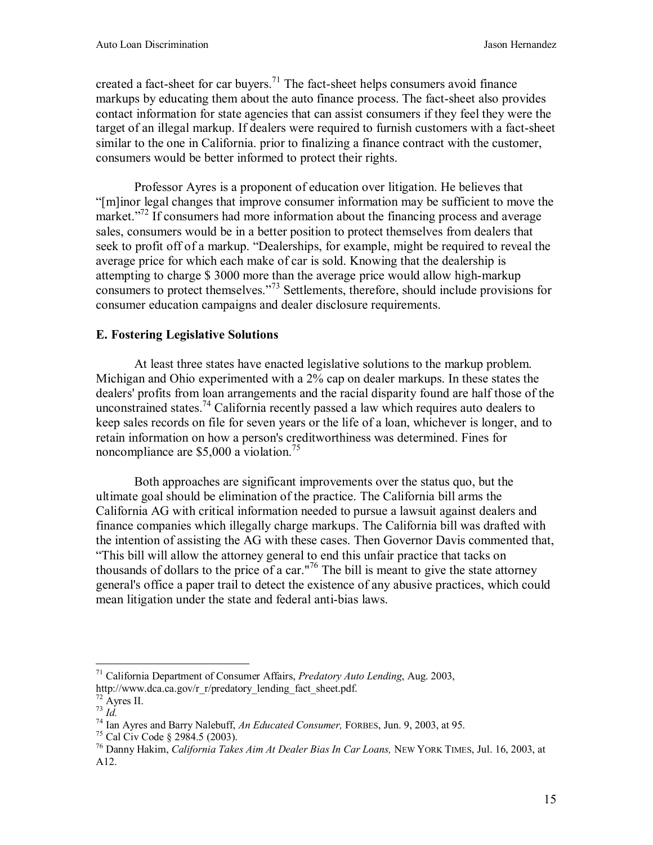created a fact-sheet for car buyers.<sup>71</sup> The fact-sheet helps consumers avoid finance markups by educating them about the auto finance process. The fact-sheet also provides contact information for state agencies that can assist consumers if they feel they were the target of an illegal markup. If dealers were required to furnish customers with a fact-sheet similar to the one in California. prior to finalizing a finance contract with the customer, consumers would be better informed to protect their rights.

Professor Ayres is a proponent of education over litigation. He believes that "[m]inor legal changes that improve consumer information may be sufficient to move the market."<sup>72</sup> If consumers had more information about the financing process and average sales, consumers would be in a better position to protect themselves from dealers that seek to profit off of a markup. "Dealerships, for example, might be required to reveal the average price for which each make of car is sold. Knowing that the dealership is attempting to charge \$ 3000 more than the average price would allow high-markup consumers to protect themselves."73 Settlements, therefore, should include provisions for consumer education campaigns and dealer disclosure requirements.

# **E. Fostering Legislative Solutions**

At least three states have enacted legislative solutions to the markup problem. Michigan and Ohio experimented with a 2% cap on dealer markups. In these states the dealers' profits from loan arrangements and the racial disparity found are half those of the unconstrained states.<sup>74</sup> California recently passed a law which requires auto dealers to keep sales records on file for seven years or the life of a loan, whichever is longer, and to retain information on how a person's creditworthiness was determined. Fines for noncompliance are  $$5,000$  a violation.<sup>75</sup>

Both approaches are significant improvements over the status quo, but the ultimate goal should be elimination of the practice. The California bill arms the California AG with critical information needed to pursue a lawsuit against dealers and finance companies which illegally charge markups. The California bill was drafted with the intention of assisting the AG with these cases. Then Governor Davis commented that, "This bill will allow the attorney general to end this unfair practice that tacks on thousands of dollars to the price of a car."<sup>76</sup> The bill is meant to give the state attorney general's office a paper trail to detect the existence of any abusive practices, which could mean litigation under the state and federal anti-bias laws.

 $\overline{a}$ 71 California Department of Consumer Affairs, *Predatory Auto Lending*, Aug. 2003, http://www.dca.ca.gov/r\_r/predatory\_lending\_fact\_sheet.pdf.

 $\frac{72}{73}$  Ayres II.<br> $\frac{73}{10}$ .

<sup>&</sup>lt;sup>74</sup> Ian Ayres and Barry Nalebuff, *An Educated Consumer*, FORBES, Jun. 9, 2003, at 95.<br><sup>75</sup> Cal Civ Code § 2984.5 (2003).

<sup>76</sup> Danny Hakim, *California Takes Aim At Dealer Bias In Car Loans,* NEW YORK TIMES, Jul. 16, 2003, at A12.